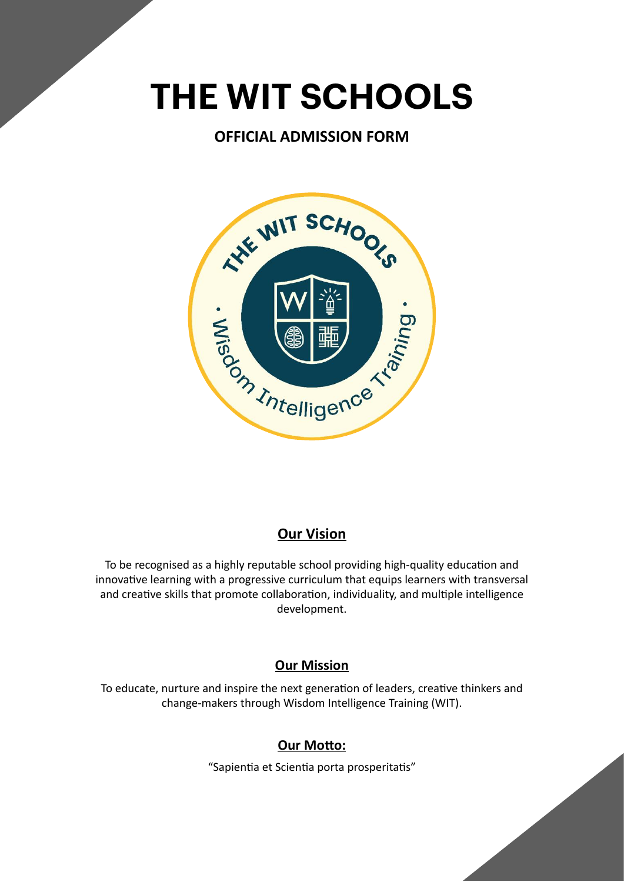# **THE WIT SCHOOLS**

# **OFFICIAL ADMISSION FORM**



# **Our Vision**

To be recognised as a highly reputable school providing high-quality education and innovative learning with a progressive curriculum that equips learners with transversal and creative skills that promote collaboration, individuality, and multiple intelligence development.

# **Our Mission**

To educate, nurture and inspire the next generation of leaders, creative thinkers and change-makers through Wisdom Intelligence Training (WIT).

# **Our Motto:**

"Sapientia et Scientia porta prosperitatis"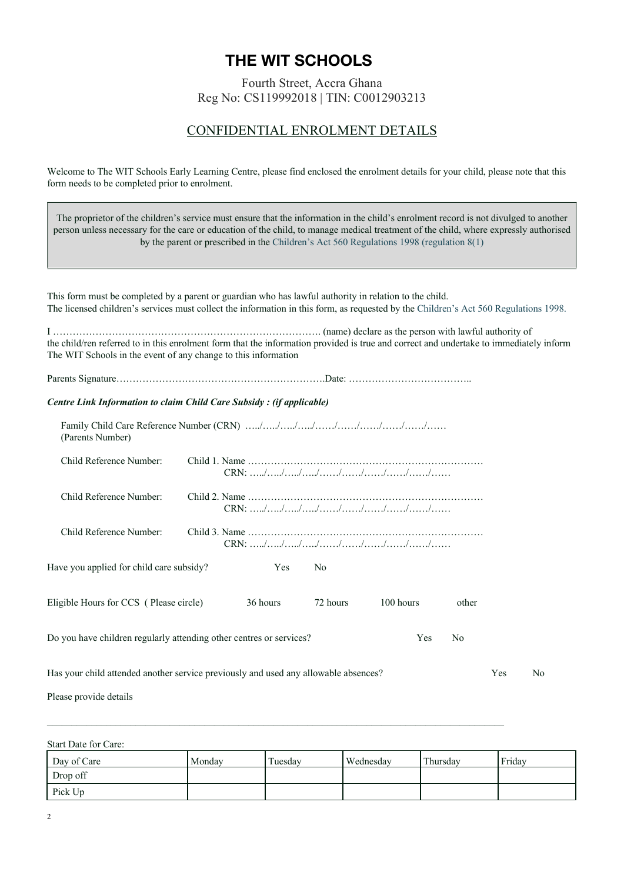#### **The WIT Schools Early Learning Centre THE WIT SCHOOLS**

Fourth Street, Accra Ghana Reg No: CS119992018 | TIN: C0012903213

# CONFIDENTIAL ENROLMENT DETAILS

Welcome to The WIT Schools Early Learning Centre, please find enclosed the enrolment details for your child, please note that this form needs to be completed prior to enrolment.

The proprietor of the children's service must ensure that the information in the child's enrolment record is not divulged to another person unless necessary for the care or education of the child, to manage medical treatment of the child, where expressly authorised by the parent or prescribed in the Children's Act 560 Regulations 1998 (regulation 8(1) This form must be completed by a parent or guardian who has lawful authority in relation to the child. The licensed children's services must collect the information in this form, as requested by the Children's Act 560 Regulations 1998. I ………………………………………………………………………. (name) declare as the person with lawful authority of the child/ren referred to in this enrolment form that the information provided is true and correct and undertake to immediately inform The WIT Schools in the event of any change to this information Parents Signature……………………………………………………….Date: ……………………………….. *Centre Link Information to claim Child Care Subsidy : (if applicable)* Family Child Care Reference Number (CRN) …../…../…../…../……/……/……/……/……/…… (Parents Number) Child Reference Number: Child 1. Name ……………………………………………………………… CRN: …../…../…../…../……/……/……/……/……/…… Child Reference Number: Child 2. Name ……………………………………………………………… CRN: …../…../…../…../……/……/……/……/……/…… Child Reference Number: Child 3. Name ……………………………………………………………… CRN: …../…../…../…../……/……/……/……/……/…… Have you applied for child care subsidy? Yes No Eligible Hours for CCS ( Please circle) 36 hours 72 hours 100 hours other Do you have children regularly attending other centres or services? Yes No Has your child attended another service previously and used any allowable absences? Yes No Please provide details

Start Date for Care:

| Day of Care | Monday | Tuesday | Wednesday | Thursday | Friday |
|-------------|--------|---------|-----------|----------|--------|
| Drop off    |        |         |           |          |        |
| Pick Up     |        |         |           |          |        |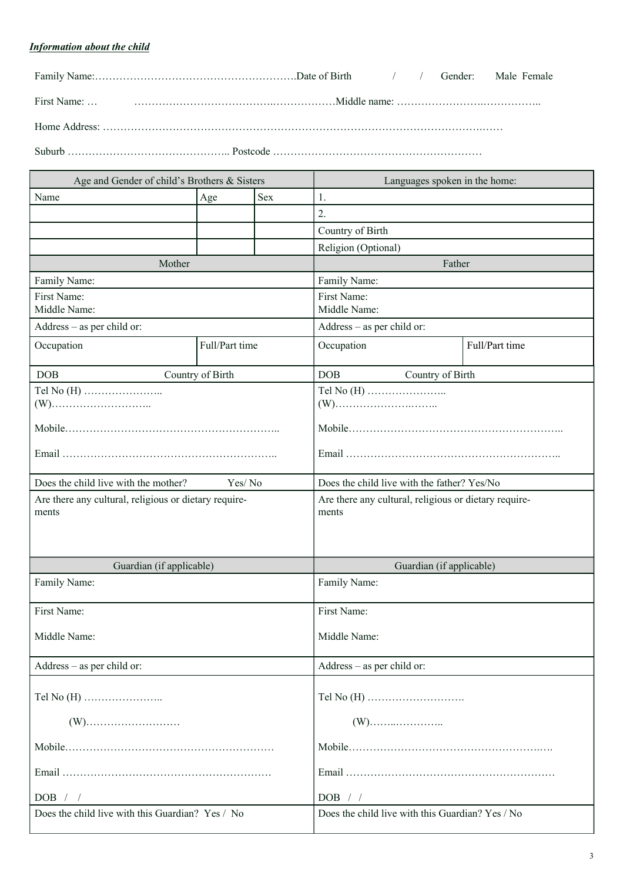# *Information about the child*

| Age and Gender of child's Brothers & Sisters                   |                  | Languages spoken in the home:                                  |                                             |                |  |
|----------------------------------------------------------------|------------------|----------------------------------------------------------------|---------------------------------------------|----------------|--|
| Name                                                           | Age              | <b>Sex</b>                                                     | 1.                                          |                |  |
|                                                                |                  |                                                                | 2.                                          |                |  |
|                                                                |                  |                                                                | Country of Birth                            |                |  |
|                                                                |                  |                                                                | Religion (Optional)                         |                |  |
| Mother                                                         |                  |                                                                | Father                                      |                |  |
| Family Name:                                                   |                  |                                                                | Family Name:                                |                |  |
| First Name:<br>Middle Name:                                    |                  | First Name:<br>Middle Name:                                    |                                             |                |  |
| Address - as per child or:                                     |                  |                                                                | Address - as per child or:                  |                |  |
| Occupation                                                     | Full/Part time   |                                                                | Occupation                                  | Full/Part time |  |
| DOB                                                            | Country of Birth |                                                                | <b>DOB</b><br>Country of Birth              |                |  |
|                                                                |                  |                                                                |                                             |                |  |
|                                                                |                  |                                                                |                                             |                |  |
|                                                                |                  |                                                                |                                             |                |  |
| Does the child live with the mother?                           | Yes/No           |                                                                | Does the child live with the father? Yes/No |                |  |
| Are there any cultural, religious or dietary require-<br>ments |                  | Are there any cultural, religious or dietary require-<br>ments |                                             |                |  |
| Guardian (if applicable)                                       |                  |                                                                | Guardian (if applicable)                    |                |  |
| Family Name:                                                   |                  | Family Name:                                                   |                                             |                |  |
| First Name:                                                    |                  | First Name:                                                    |                                             |                |  |
| Middle Name:                                                   |                  | Middle Name:                                                   |                                             |                |  |
| Address – as per child or:                                     |                  | Address - as per child or:                                     |                                             |                |  |
|                                                                |                  |                                                                |                                             |                |  |
|                                                                |                  |                                                                |                                             |                |  |
|                                                                |                  |                                                                |                                             |                |  |
|                                                                |                  |                                                                |                                             |                |  |
| DOB / /                                                        |                  | DOB / /                                                        |                                             |                |  |
| Does the child live with this Guardian? Yes / No               |                  | Does the child live with this Guardian? Yes / No               |                                             |                |  |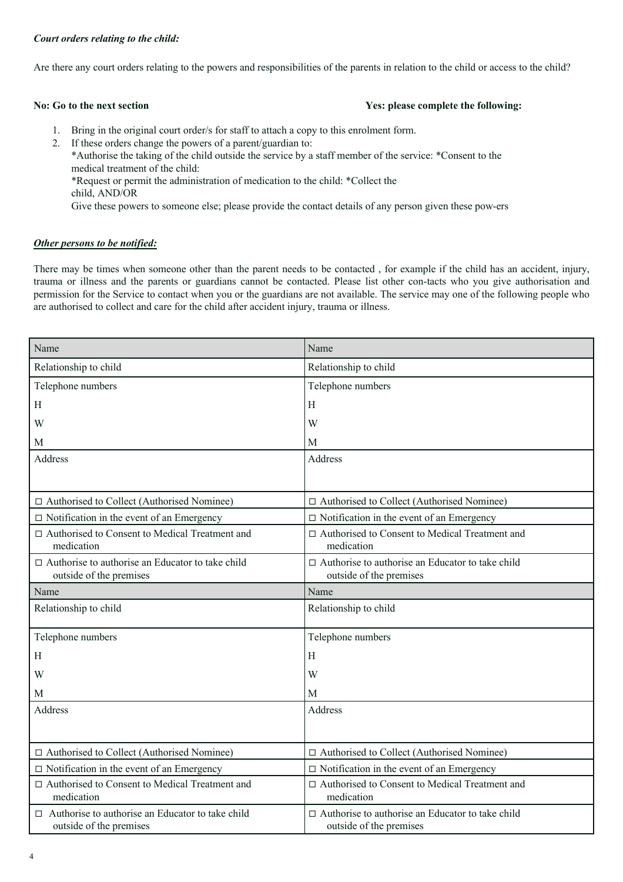#### *Court orders relating to the child:*

Are there any court orders relating to the powers and responsibilities of the parents in relation to the child or access to the child?

#### **No: Go to the next section Yes: please complete the following:**

1. Bring in the original court order/s for staff to attach a copy to this enrolment form.

2. If these orders change the powers of a parent/guardian to: \*Authorise the taking of the child outside the service by a staff member of the service: \*Consent to the medical treatment of the child: \*Request or permit the administration of medication to the child: \*Collect the child, AND/OR Give these powers to someone else; please provide the contact details of any person given these pow-ers

#### *Other persons to be notified:*

There may be times when someone other than the parent needs to be contacted , for example if the child has an accident, injury, trauma or illness and the parents or guardians cannot be contacted. Please list other con-tacts who you give authorisation and permission for the Service to contact when you or the guardians are not available. The service may one of the following people who are authorised to collect and care for the child after accident injury, trauma or illness.

| Name                                                                               | Name                                                                               |
|------------------------------------------------------------------------------------|------------------------------------------------------------------------------------|
| Relationship to child                                                              | Relationship to child                                                              |
| Telephone numbers                                                                  | Telephone numbers                                                                  |
| Η                                                                                  | H                                                                                  |
| W                                                                                  | W                                                                                  |
| М                                                                                  | M                                                                                  |
| Address                                                                            | Address                                                                            |
|                                                                                    |                                                                                    |
| □ Authorised to Collect (Authorised Nominee)                                       | □ Authorised to Collect (Authorised Nominee)                                       |
| $\Box$ Notification in the event of an Emergency                                   | $\Box$ Notification in the event of an Emergency                                   |
| □ Authorised to Consent to Medical Treatment and<br>medication                     | □ Authorised to Consent to Medical Treatment and<br>medication                     |
| $\Box$ Authorise to authorise an Educator to take child<br>outside of the premises | $\Box$ Authorise to authorise an Educator to take child<br>outside of the premises |
| Name                                                                               | Name                                                                               |
| Relationship to child                                                              | Relationship to child                                                              |
| Telephone numbers                                                                  | Telephone numbers                                                                  |
| Η                                                                                  | H                                                                                  |
| W                                                                                  | W                                                                                  |
| М                                                                                  | M                                                                                  |
| Address                                                                            | Address                                                                            |
|                                                                                    |                                                                                    |
| □ Authorised to Collect (Authorised Nominee)                                       | □ Authorised to Collect (Authorised Nominee)                                       |
| $\Box$ Notification in the event of an Emergency                                   | $\Box$ Notification in the event of an Emergency                                   |
| □ Authorised to Consent to Medical Treatment and<br>medication                     | □ Authorised to Consent to Medical Treatment and<br>medication                     |
| $\Box$ Authorise to authorise an Educator to take child<br>outside of the premises | $\Box$ Authorise to authorise an Educator to take child<br>outside of the premises |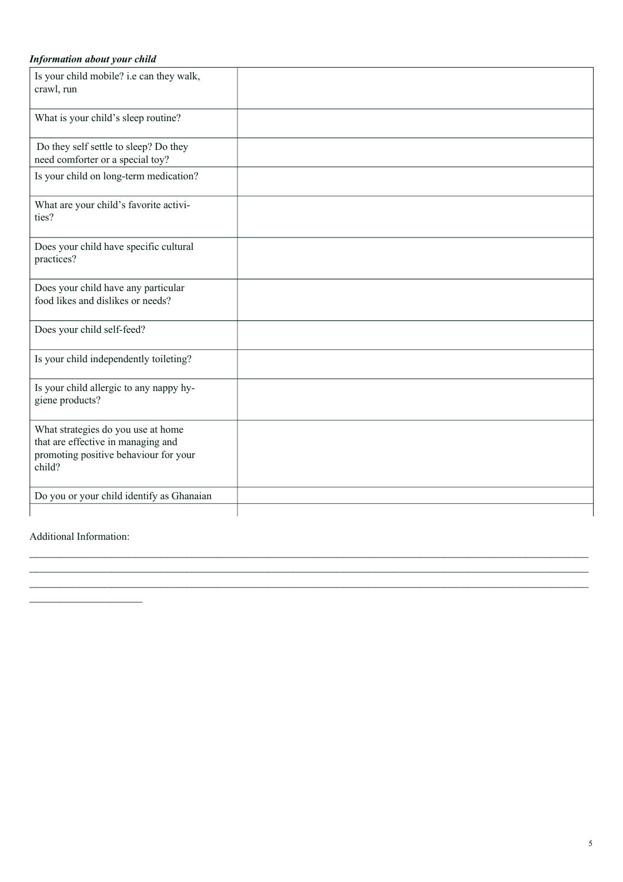## *Information about your child*

| Is your child mobile? i.e can they walk,<br>crawl, run                                                                      |  |
|-----------------------------------------------------------------------------------------------------------------------------|--|
| What is your child's sleep routine?                                                                                         |  |
| Do they self settle to sleep? Do they<br>need comforter or a special toy?                                                   |  |
| Is your child on long-term medication?                                                                                      |  |
| What are your child's favorite activi-<br>ties?                                                                             |  |
| Does your child have specific cultural<br>practices?                                                                        |  |
| Does your child have any particular<br>food likes and dislikes or needs?                                                    |  |
| Does your child self-feed?                                                                                                  |  |
| Is your child independently toileting?                                                                                      |  |
| Is your child allergic to any nappy hy-<br>giene products?                                                                  |  |
| What strategies do you use at home<br>that are effective in managing and<br>promoting positive behaviour for your<br>child? |  |
| Do you or your child identify as Ghanaian                                                                                   |  |

\_\_\_\_\_\_\_\_\_\_\_\_\_\_\_\_\_\_\_\_\_\_\_\_\_\_\_\_\_\_\_\_\_\_\_\_\_\_\_\_\_\_\_\_\_\_\_\_\_\_\_\_\_\_\_\_\_\_\_\_\_\_\_\_\_\_\_\_\_\_\_\_\_\_\_\_\_\_\_\_\_\_\_\_\_\_\_\_\_

Additional Information:

 $\frac{1}{2}$  ,  $\frac{1}{2}$  ,  $\frac{1}{2}$  ,  $\frac{1}{2}$  ,  $\frac{1}{2}$  ,  $\frac{1}{2}$  ,  $\frac{1}{2}$  ,  $\frac{1}{2}$  ,  $\frac{1}{2}$  ,  $\frac{1}{2}$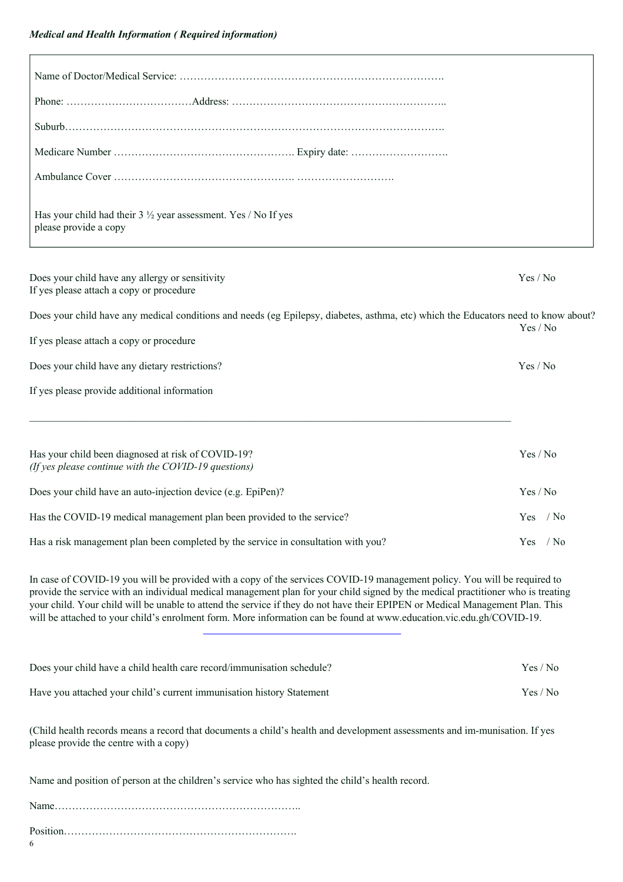| Has your child had their $3\frac{1}{2}$ year assessment. Yes / No If yes<br>please provide a copy                                                                                                                                                                                                                                                                                                                                                                                                                     |              |
|-----------------------------------------------------------------------------------------------------------------------------------------------------------------------------------------------------------------------------------------------------------------------------------------------------------------------------------------------------------------------------------------------------------------------------------------------------------------------------------------------------------------------|--------------|
| Does your child have any allergy or sensitivity<br>If yes please attach a copy or procedure                                                                                                                                                                                                                                                                                                                                                                                                                           | Yes / No     |
| Does your child have any medical conditions and needs (eg Epilepsy, diabetes, asthma, etc) which the Educators need to know about?                                                                                                                                                                                                                                                                                                                                                                                    | Yes / No     |
| If yes please attach a copy or procedure                                                                                                                                                                                                                                                                                                                                                                                                                                                                              |              |
| Does your child have any dietary restrictions?                                                                                                                                                                                                                                                                                                                                                                                                                                                                        | Yes / No     |
| If yes please provide additional information                                                                                                                                                                                                                                                                                                                                                                                                                                                                          |              |
| Has your child been diagnosed at risk of COVID-19?<br>(If yes please continue with the COVID-19 questions)                                                                                                                                                                                                                                                                                                                                                                                                            | Yes / No     |
| Does your child have an auto-injection device (e.g. EpiPen)?                                                                                                                                                                                                                                                                                                                                                                                                                                                          | Yes / No     |
| Has the COVID-19 medical management plan been provided to the service?                                                                                                                                                                                                                                                                                                                                                                                                                                                | Yes / No     |
| Has a risk management plan been completed by the service in consultation with you?                                                                                                                                                                                                                                                                                                                                                                                                                                    | $Yes$ / $No$ |
| In case of COVID-19 you will be provided with a copy of the services COVID-19 management policy. You will be required to<br>provide the service with an individual medical management plan for your child signed by the medical practitioner who is treating<br>your child. Your child will be unable to attend the service if they do not have their EPIPEN or Medical Management Plan. This<br>will be attached to your child's enrolment form. More information can be found at www.education.vic.edu.gh/COVID-19. |              |
| Does your child have a child health care record/immunisation schedule?                                                                                                                                                                                                                                                                                                                                                                                                                                                | Yes / No     |

Have you attached your child's current immunisation history Statement Yes / No

(Child health records means a record that documents a child's health and development assessments and im-munisation. If yes please provide the centre with a copy)

Name and position of person at the children's service who has sighted the child's health record.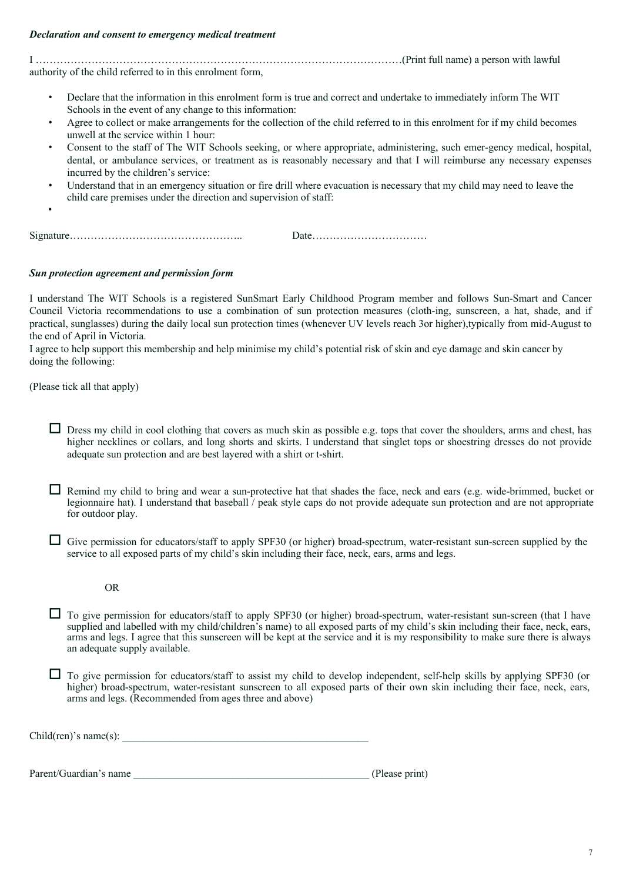#### *Declaration and consent to emergency medical treatment*

I ……………………………………………………………………………………………(Print full name) a person with lawful authority of the child referred to in this enrolment form,

- Declare that the information in this enrolment form is true and correct and undertake to immediately inform The WIT Schools in the event of any change to this information:
- Agree to collect or make arrangements for the collection of the child referred to in this enrolment for if my child becomes unwell at the service within 1 hour:
- Consent to the staff of The WIT Schools seeking, or where appropriate, administering, such emer-gency medical, hospital, dental, or ambulance services, or treatment as is reasonably necessary and that I will reimburse any necessary expenses incurred by the children's service:
- Understand that in an emergency situation or fire drill where evacuation is necessary that my child may need to leave the child care premises under the direction and supervision of staff:

Signature………………………………………….. Date……………………………

#### *Sun protection agreement and permission form*

I understand The WIT Schools is a registered SunSmart Early Childhood Program member and follows Sun-Smart and Cancer Council Victoria recommendations to use a combination of sun protection measures (cloth-ing, sunscreen, a hat, shade, and if practical, sunglasses) during the daily local sun protection times (whenever UV levels reach 3or higher),typically from mid-August to the end of April in Victoria.

I agree to help support this membership and help minimise my child's potential risk of skin and eye damage and skin cancer by doing the following:

(Please tick all that apply)

•

 $\Box$  Dress my child in cool clothing that covers as much skin as possible e.g. tops that cover the shoulders, arms and chest, has higher necklines or collars, and long shorts and skirts. I understand that singlet tops or shoestring dresses do not provide adequate sun protection and are best layered with a shirt or t-shirt.

 $\Box$  Remind my child to bring and wear a sun-protective hat that shades the face, neck and ears (e.g. wide-brimmed, bucket or legionnaire hat). I understand that baseball / peak style caps do not provide adequate sun protection and are not appropriate for outdoor play.

 $\Box$  Give permission for educators/staff to apply SPF30 (or higher) broad-spectrum, water-resistant sun-screen supplied by the service to all exposed parts of my child's skin including their face, neck, ears, arms and legs.

OR

 $\Box$  To give permission for educators/staff to apply SPF30 (or higher) broad-spectrum, water-resistant sun-screen (that I have supplied and labelled with my child/children's name) to all exposed parts of my child's skin including their face, neck, ears, arms and legs. I agree that this sunscreen will be kept at the service and it is my responsibility to make sure there is always an adequate supply available.

 $\Box$  To give permission for educators/staff to assist my child to develop independent, self-help skills by applying SPF30 (or higher) broad-spectrum, water-resistant sunscreen to all exposed parts of their own skin including their face, neck, ears, arms and legs. (Recommended from ages three and above)

 $Child(ren)'s name(s):$ 

Parent/Guardian's name that the contract of the contract of the contract of the contract of the contract of the contract of the contract of the contract of the contract of the contract of the contract of the contract of th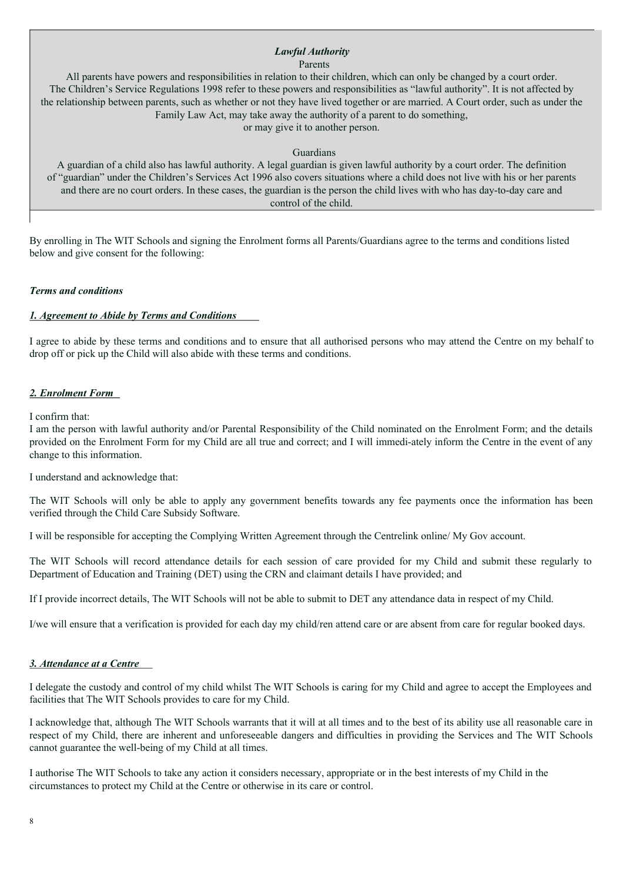# *Lawful Authority*

Parents

All parents have powers and responsibilities in relation to their children, which can only be changed by a court order. The Children's Service Regulations 1998 refer to these powers and responsibilities as "lawful authority". It is not affected by the relationship between parents, such as whether or not they have lived together or are married. A Court order, such as under the Family Law Act, may take away the authority of a parent to do something,

or may give it to another person.

Guardians

A guardian of a child also has lawful authority. A legal guardian is given lawful authority by a court order. The definition of "guardian" under the Children's Services Act 1996 also covers situations where a child does not live with his or her parents and there are no court orders. In these cases, the guardian is the person the child lives with who has day-to-day care and control of the child.

By enrolling in The WIT Schools and signing the Enrolment forms all Parents/Guardians agree to the terms and conditions listed below and give consent for the following:

#### *Terms and conditions*

#### *1. Agreement to Abide by Terms and Conditions*

I agree to abide by these terms and conditions and to ensure that all authorised persons who may attend the Centre on my behalf to drop off or pick up the Child will also abide with these terms and conditions.

#### *2. Enrolment Form*

#### I confirm that:

I am the person with lawful authority and/or Parental Responsibility of the Child nominated on the Enrolment Form; and the details provided on the Enrolment Form for my Child are all true and correct; and I will immedi-ately inform the Centre in the event of any change to this information.

I understand and acknowledge that:

The WIT Schools will only be able to apply any government benefits towards any fee payments once the information has been verified through the Child Care Subsidy Software.

I will be responsible for accepting the Complying Written Agreement through the Centrelink online/ My Gov account.

The WIT Schools will record attendance details for each session of care provided for my Child and submit these regularly to Department of Education and Training (DET) using the CRN and claimant details I have provided; and

If I provide incorrect details, The WIT Schools will not be able to submit to DET any attendance data in respect of my Child.

I/we will ensure that a verification is provided for each day my child/ren attend care or are absent from care for regular booked days.

#### *3. Attendance at a Centre*

I delegate the custody and control of my child whilst The WIT Schools is caring for my Child and agree to accept the Employees and facilities that The WIT Schools provides to care for my Child.

I acknowledge that, although The WIT Schools warrants that it will at all times and to the best of its ability use all reasonable care in respect of my Child, there are inherent and unforeseeable dangers and difficulties in providing the Services and The WIT Schools cannot guarantee the well-being of my Child at all times.

I authorise The WIT Schools to take any action it considers necessary, appropriate or in the best interests of my Child in the circumstances to protect my Child at the Centre or otherwise in its care or control.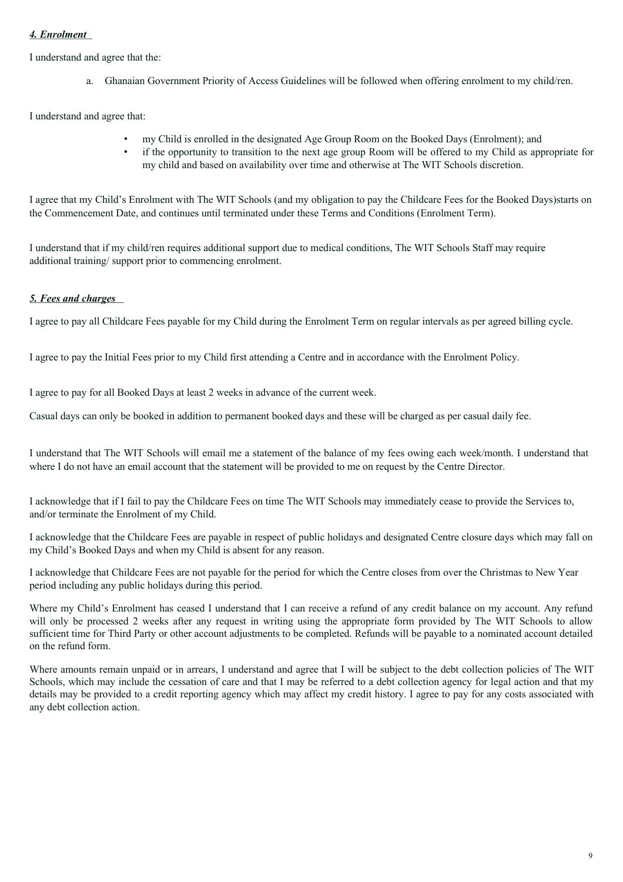### *4. Enrolment*

I understand and agree that the:

a. Ghanaian Government Priority of Access Guidelines will be followed when offering enrolment to my child/ren.

I understand and agree that:

- my Child is enrolled in the designated Age Group Room on the Booked Days (Enrolment); and
- if the opportunity to transition to the next age group Room will be offered to my Child as appropriate for my child and based on availability over time and otherwise at The WIT Schools discretion.

I agree that my Child's Enrolment with The WIT Schools (and my obligation to pay the Childcare Fees for the Booked Days)starts on the Commencement Date, and continues until terminated under these Terms and Conditions (Enrolment Term).

I understand that if my child/ren requires additional support due to medical conditions, The WIT Schools Staff may require additional training/ support prior to commencing enrolment.

#### *5. Fees and charges*

I agree to pay all Childcare Fees payable for my Child during the Enrolment Term on regular intervals as per agreed billing cycle.

I agree to pay the Initial Fees prior to my Child first attending a Centre and in accordance with the Enrolment Policy.

I agree to pay for all Booked Days at least 2 weeks in advance of the current week.

Casual days can only be booked in addition to permanent booked days and these will be charged as per casual daily fee.

I understand that The WIT Schools will email me a statement of the balance of my fees owing each week/month. I understand that where I do not have an email account that the statement will be provided to me on request by the Centre Director.

I acknowledge that if I fail to pay the Childcare Fees on time The WIT Schools may immediately cease to provide the Services to, and/or terminate the Enrolment of my Child.

I acknowledge that the Childcare Fees are payable in respect of public holidays and designated Centre closure days which may fall on my Child's Booked Days and when my Child is absent for any reason.

I acknowledge that Childcare Fees are not payable for the period for which the Centre closes from over the Christmas to New Year period including any public holidays during this period.

Where my Child's Enrolment has ceased I understand that I can receive a refund of any credit balance on my account. Any refund will only be processed 2 weeks after any request in writing using the appropriate form provided by The WIT Schools to allow sufficient time for Third Party or other account adjustments to be completed. Refunds will be payable to a nominated account detailed on the refund form.

Where amounts remain unpaid or in arrears, I understand and agree that I will be subject to the debt collection policies of The WIT Schools, which may include the cessation of care and that I may be referred to a debt collection agency for legal action and that my details may be provided to a credit reporting agency which may affect my credit history. I agree to pay for any costs associated with any debt collection action.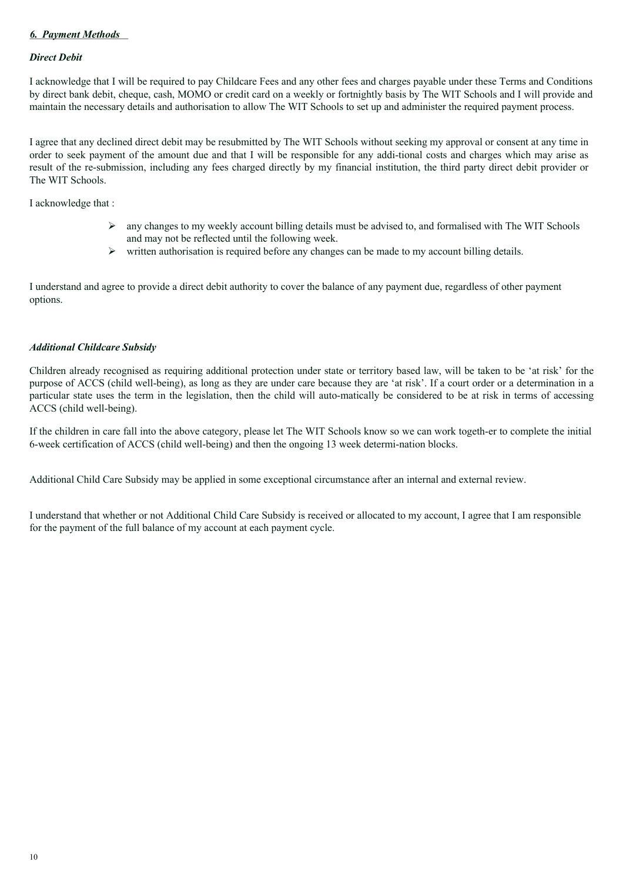#### *6. Payment Methods*

#### *Direct Debit*

I acknowledge that I will be required to pay Childcare Fees and any other fees and charges payable under these Terms and Conditions by direct bank debit, cheque, cash, MOMO or credit card on a weekly or fortnightly basis by The WIT Schools and I will provide and maintain the necessary details and authorisation to allow The WIT Schools to set up and administer the required payment process.

I agree that any declined direct debit may be resubmitted by The WIT Schools without seeking my approval or consent at any time in order to seek payment of the amount due and that I will be responsible for any addi-tional costs and charges which may arise as result of the re-submission, including any fees charged directly by my financial institution, the third party direct debit provider or The WIT Schools.

I acknowledge that :

- $\triangleright$  any changes to my weekly account billing details must be advised to, and formalised with The WIT Schools and may not be reflected until the following week.
- Ø written authorisation is required before any changes can be made to my account billing details.

I understand and agree to provide a direct debit authority to cover the balance of any payment due, regardless of other payment options.

#### *Additional Childcare Subsidy*

Children already recognised as requiring additional protection under state or territory based law, will be taken to be 'at risk' for the purpose of ACCS (child well-being), as long as they are under care because they are 'at risk'. If a court order or a determination in a particular state uses the term in the legislation, then the child will auto-matically be considered to be at risk in terms of accessing ACCS (child well-being).

If the children in care fall into the above category, please let The WIT Schools know so we can work togeth-er to complete the initial 6-week certification of ACCS (child well-being) and then the ongoing 13 week determi-nation blocks.

Additional Child Care Subsidy may be applied in some exceptional circumstance after an internal and external review.

I understand that whether or not Additional Child Care Subsidy is received or allocated to my account, I agree that I am responsible for the payment of the full balance of my account at each payment cycle.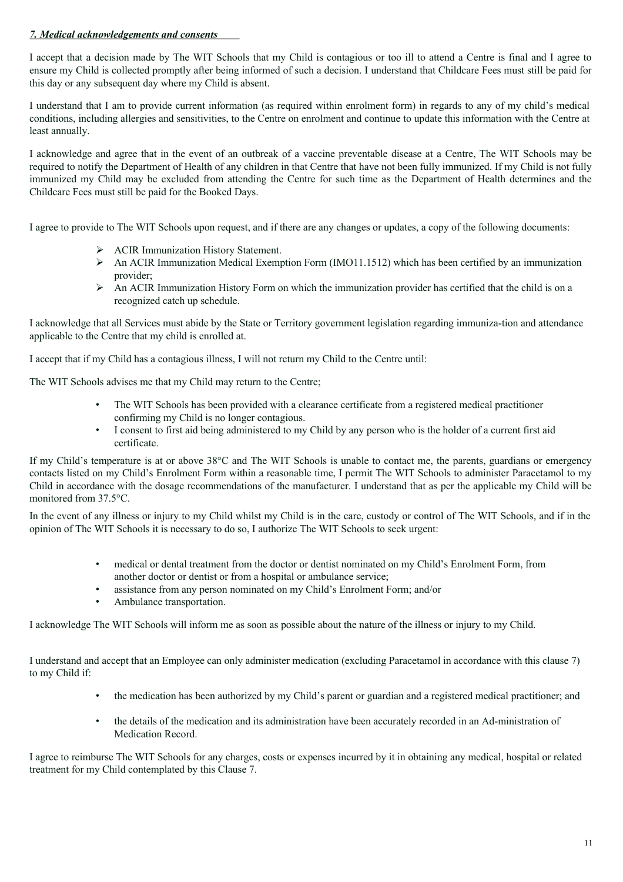#### *7. Medical acknowledgements and consents*

I accept that a decision made by The WIT Schools that my Child is contagious or too ill to attend a Centre is final and I agree to ensure my Child is collected promptly after being informed of such a decision. I understand that Childcare Fees must still be paid for this day or any subsequent day where my Child is absent.

I understand that I am to provide current information (as required within enrolment form) in regards to any of my child's medical conditions, including allergies and sensitivities, to the Centre on enrolment and continue to update this information with the Centre at least annually.

I acknowledge and agree that in the event of an outbreak of a vaccine preventable disease at a Centre, The WIT Schools may be required to notify the Department of Health of any children in that Centre that have not been fully immunized. If my Child is not fully immunized my Child may be excluded from attending the Centre for such time as the Department of Health determines and the Childcare Fees must still be paid for the Booked Days.

I agree to provide to The WIT Schools upon request, and if there are any changes or updates, a copy of the following documents:

- Ø ACIR Immunization History Statement.
- Ø An ACIR Immunization Medical Exemption Form (IMO11.1512) which has been certified by an immunization provider;
- $\triangleright$  An ACIR Immunization History Form on which the immunization provider has certified that the child is on a recognized catch up schedule.

I acknowledge that all Services must abide by the State or Territory government legislation regarding immuniza-tion and attendance applicable to the Centre that my child is enrolled at.

I accept that if my Child has a contagious illness, I will not return my Child to the Centre until:

The WIT Schools advises me that my Child may return to the Centre;

- The WIT Schools has been provided with a clearance certificate from a registered medical practitioner confirming my Child is no longer contagious.
- I consent to first aid being administered to my Child by any person who is the holder of a current first aid certificate.

If my Child's temperature is at or above 38°C and The WIT Schools is unable to contact me, the parents, guardians or emergency contacts listed on my Child's Enrolment Form within a reasonable time, I permit The WIT Schools to administer Paracetamol to my Child in accordance with the dosage recommendations of the manufacturer. I understand that as per the applicable my Child will be monitored from 37.5°C.

In the event of any illness or injury to my Child whilst my Child is in the care, custody or control of The WIT Schools, and if in the opinion of The WIT Schools it is necessary to do so, I authorize The WIT Schools to seek urgent:

- medical or dental treatment from the doctor or dentist nominated on my Child's Enrolment Form, from another doctor or dentist or from a hospital or ambulance service;
- assistance from any person nominated on my Child's Enrolment Form; and/or
- Ambulance transportation.

I acknowledge The WIT Schools will inform me as soon as possible about the nature of the illness or injury to my Child.

I understand and accept that an Employee can only administer medication (excluding Paracetamol in accordance with this clause 7) to my Child if:

- the medication has been authorized by my Child's parent or guardian and a registered medical practitioner; and
- the details of the medication and its administration have been accurately recorded in an Ad-ministration of Medication Record.

I agree to reimburse The WIT Schools for any charges, costs or expenses incurred by it in obtaining any medical, hospital or related treatment for my Child contemplated by this Clause 7.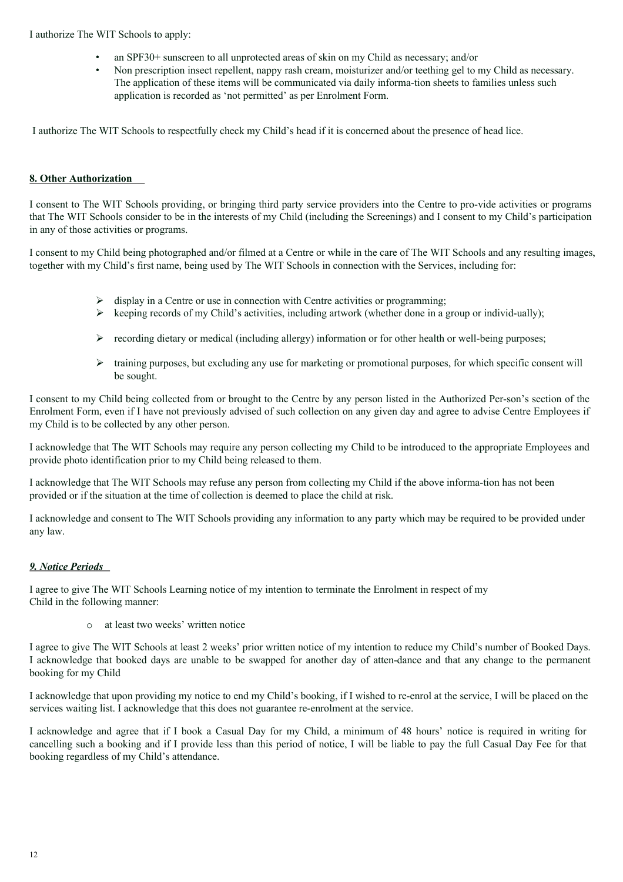I authorize The WIT Schools to apply:

- an SPF30+ sunscreen to all unprotected areas of skin on my Child as necessary; and/or
- Non prescription insect repellent, nappy rash cream, moisturizer and/or teething gel to my Child as necessary. The application of these items will be communicated via daily informa-tion sheets to families unless such application is recorded as 'not permitted' as per Enrolment Form.

I authorize The WIT Schools to respectfully check my Child's head if it is concerned about the presence of head lice.

#### **8. Other Authorization**

I consent to The WIT Schools providing, or bringing third party service providers into the Centre to pro-vide activities or programs that The WIT Schools consider to be in the interests of my Child (including the Screenings) and I consent to my Child's participation in any of those activities or programs.

I consent to my Child being photographed and/or filmed at a Centre or while in the care of The WIT Schools and any resulting images, together with my Child's first name, being used by The WIT Schools in connection with the Services, including for:

- $\triangleright$  display in a Centre or use in connection with Centre activities or programming;
- $\triangleright$  keeping records of my Child's activities, including artwork (whether done in a group or individ-ually);
- $\triangleright$  recording dietary or medical (including allergy) information or for other health or well-being purposes;
- $\triangleright$  training purposes, but excluding any use for marketing or promotional purposes, for which specific consent will be sought.

I consent to my Child being collected from or brought to the Centre by any person listed in the Authorized Per-son's section of the Enrolment Form, even if I have not previously advised of such collection on any given day and agree to advise Centre Employees if my Child is to be collected by any other person.

I acknowledge that The WIT Schools may require any person collecting my Child to be introduced to the appropriate Employees and provide photo identification prior to my Child being released to them.

I acknowledge that The WIT Schools may refuse any person from collecting my Child if the above informa-tion has not been provided or if the situation at the time of collection is deemed to place the child at risk.

I acknowledge and consent to The WIT Schools providing any information to any party which may be required to be provided under any law.

#### *9. Notice Periods*

I agree to give The WIT Schools Learning notice of my intention to terminate the Enrolment in respect of my Child in the following manner:

o at least two weeks' written notice

I agree to give The WIT Schools at least 2 weeks' prior written notice of my intention to reduce my Child's number of Booked Days. I acknowledge that booked days are unable to be swapped for another day of atten-dance and that any change to the permanent booking for my Child

I acknowledge that upon providing my notice to end my Child's booking, if I wished to re-enrol at the service, I will be placed on the services waiting list. I acknowledge that this does not guarantee re-enrolment at the service.

I acknowledge and agree that if I book a Casual Day for my Child, a minimum of 48 hours' notice is required in writing for cancelling such a booking and if I provide less than this period of notice, I will be liable to pay the full Casual Day Fee for that booking regardless of my Child's attendance.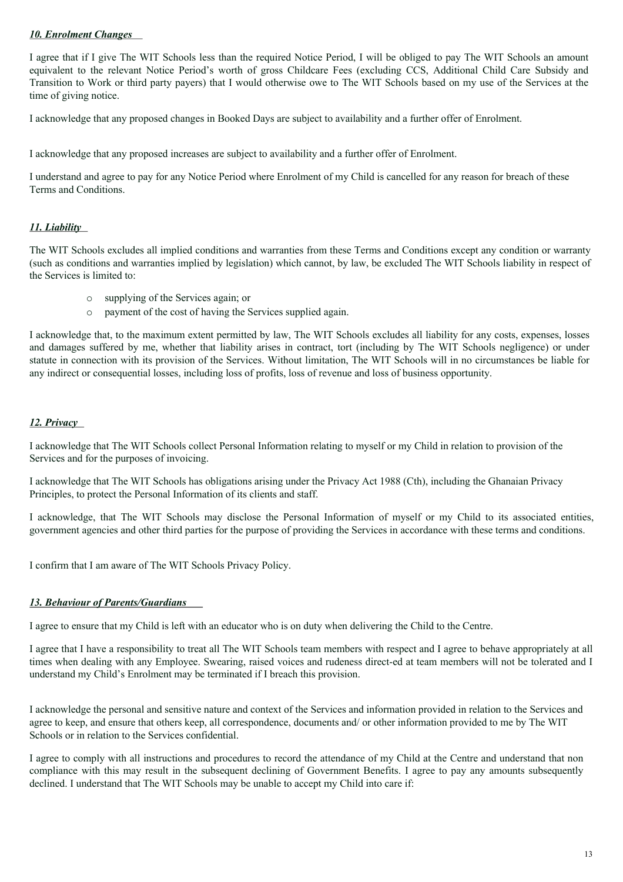#### *10. Enrolment Changes*

I agree that if I give The WIT Schools less than the required Notice Period, I will be obliged to pay The WIT Schools an amount equivalent to the relevant Notice Period's worth of gross Childcare Fees (excluding CCS, Additional Child Care Subsidy and Transition to Work or third party payers) that I would otherwise owe to The WIT Schools based on my use of the Services at the time of giving notice.

I acknowledge that any proposed changes in Booked Days are subject to availability and a further offer of Enrolment.

I acknowledge that any proposed increases are subject to availability and a further offer of Enrolment.

I understand and agree to pay for any Notice Period where Enrolment of my Child is cancelled for any reason for breach of these Terms and Conditions.

#### *11. Liability*

The WIT Schools excludes all implied conditions and warranties from these Terms and Conditions except any condition or warranty (such as conditions and warranties implied by legislation) which cannot, by law, be excluded The WIT Schools liability in respect of the Services is limited to:

- o supplying of the Services again; or
- payment of the cost of having the Services supplied again.

I acknowledge that, to the maximum extent permitted by law, The WIT Schools excludes all liability for any costs, expenses, losses and damages suffered by me, whether that liability arises in contract, tort (including by The WIT Schools negligence) or under statute in connection with its provision of the Services. Without limitation, The WIT Schools will in no circumstances be liable for any indirect or consequential losses, including loss of profits, loss of revenue and loss of business opportunity.

#### *12. Privacy*

I acknowledge that The WIT Schools collect Personal Information relating to myself or my Child in relation to provision of the Services and for the purposes of invoicing.

I acknowledge that The WIT Schools has obligations arising under the Privacy Act 1988 (Cth), including the Ghanaian Privacy Principles, to protect the Personal Information of its clients and staff.

I acknowledge, that The WIT Schools may disclose the Personal Information of myself or my Child to its associated entities, government agencies and other third parties for the purpose of providing the Services in accordance with these terms and conditions.

I confirm that I am aware of The WIT Schools Privacy Policy.

#### *13. Behaviour of Parents/Guardians*

I agree to ensure that my Child is left with an educator who is on duty when delivering the Child to the Centre.

I agree that I have a responsibility to treat all The WIT Schools team members with respect and I agree to behave appropriately at all times when dealing with any Employee. Swearing, raised voices and rudeness direct-ed at team members will not be tolerated and I understand my Child's Enrolment may be terminated if I breach this provision.

I acknowledge the personal and sensitive nature and context of the Services and information provided in relation to the Services and agree to keep, and ensure that others keep, all correspondence, documents and/ or other information provided to me by The WIT Schools or in relation to the Services confidential.

I agree to comply with all instructions and procedures to record the attendance of my Child at the Centre and understand that non compliance with this may result in the subsequent declining of Government Benefits. I agree to pay any amounts subsequently declined. I understand that The WIT Schools may be unable to accept my Child into care if: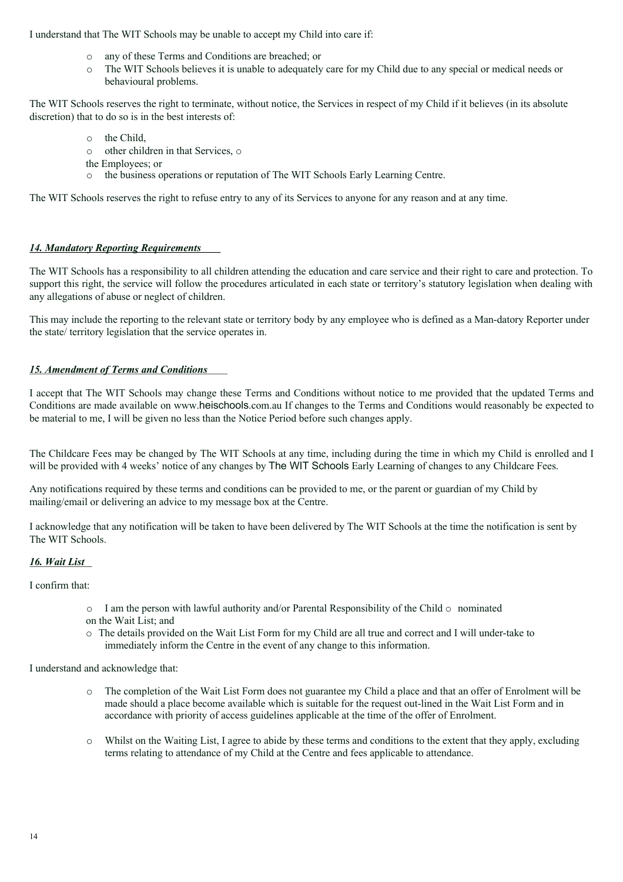I understand that The WIT Schools may be unable to accept my Child into care if:

- o any of these Terms and Conditions are breached; or
- o The WIT Schools believes it is unable to adequately care for my Child due to any special or medical needs or behavioural problems.

The WIT Schools reserves the right to terminate, without notice, the Services in respect of my Child if it believes (in its absolute discretion) that to do so is in the best interests of:

- o the Child,
- o other children in that Services, o
- the Employees; or
- the business operations or reputation of The WIT Schools Early Learning Centre.

The WIT Schools reserves the right to refuse entry to any of its Services to anyone for any reason and at any time.

#### *14. Mandatory Reporting Requirements*

The WIT Schools has a responsibility to all children attending the education and care service and their right to care and protection. To support this right, the service will follow the procedures articulated in each state or territory's statutory legislation when dealing with any allegations of abuse or neglect of children.

This may include the reporting to the relevant state or territory body by any employee who is defined as a Man-datory Reporter under the state/ territory legislation that the service operates in.

#### *15. Amendment of Terms and Conditions*

I accept that The WIT Schools may change these Terms and Conditions without notice to me provided that the updated Terms and Conditions are made available on www.heischools.com.au If changes to the Terms and Conditions would reasonably be expected to be material to me, I will be given no less than the Notice Period before such changes apply.

The Childcare Fees may be changed by The WIT Schools at any time, including during the time in which my Child is enrolled and I will be provided with 4 weeks' notice of any changes by The WIT Schools Early Learning of changes to any Childcare Fees.

Any notifications required by these terms and conditions can be provided to me, or the parent or guardian of my Child by mailing/email or delivering an advice to my message box at the Centre.

I acknowledge that any notification will be taken to have been delivered by The WIT Schools at the time the notification is sent by The WIT Schools

#### *16. Wait List*

I confirm that:

- $\circ$  I am the person with lawful authority and/or Parental Responsibility of the Child  $\circ$  nominated
- on the Wait List; and
- o The details provided on the Wait List Form for my Child are all true and correct and I will under-take to immediately inform the Centre in the event of any change to this information.

I understand and acknowledge that:

- The completion of the Wait List Form does not guarantee my Child a place and that an offer of Enrolment will be made should a place become available which is suitable for the request out-lined in the Wait List Form and in accordance with priority of access guidelines applicable at the time of the offer of Enrolment.
- o Whilst on the Waiting List, I agree to abide by these terms and conditions to the extent that they apply, excluding terms relating to attendance of my Child at the Centre and fees applicable to attendance.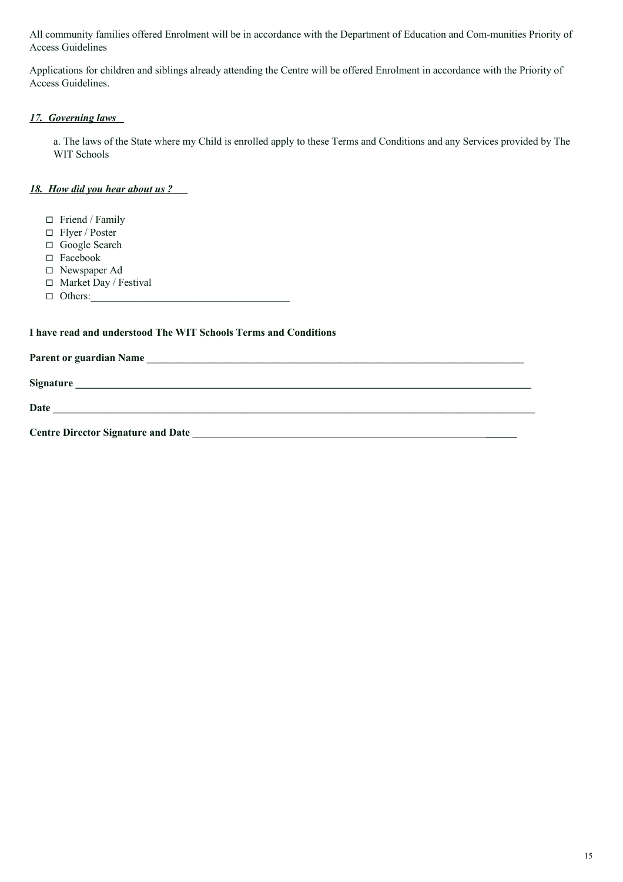All community families offered Enrolment will be in accordance with the Department of Education and Com-munities Priority of Access Guidelines

Applications for children and siblings already attending the Centre will be offered Enrolment in accordance with the Priority of Access Guidelines.

### *17. Governing laws*

a. The laws of the State where my Child is enrolled apply to these Terms and Conditions and any Services provided by The WIT Schools

#### *18. How did you hear about us ?*

- **◻** Friend / Family
- **◻** Flyer / Poster
- **◻** Google Search
- **◻** Facebook
- **◻** Newspaper Ad
- **◻** Market Day / Festival
- **◻** Others:\_\_\_\_\_\_\_\_\_\_\_\_\_\_\_\_\_\_\_\_\_\_\_\_\_\_\_\_\_\_\_\_\_\_\_\_\_\_

#### **I have read and understood The WIT Schools Terms and Conditions**

**Parent or guardian Name \_\_\_\_\_\_\_\_\_\_\_\_\_\_\_\_\_\_\_\_\_\_\_\_\_\_\_\_\_\_\_\_\_\_\_\_\_\_\_\_\_\_\_\_\_\_\_\_\_\_\_\_\_\_\_\_\_\_\_\_\_\_\_\_\_\_\_\_\_\_\_\_**

**Signature \_\_\_\_\_\_\_\_\_\_\_\_\_\_\_\_\_\_\_\_\_\_\_\_\_\_\_\_\_\_\_\_\_\_\_\_\_\_\_\_\_\_\_\_\_\_\_\_\_\_\_\_\_\_\_\_\_\_\_\_\_\_\_\_\_\_\_\_\_\_\_\_\_\_\_\_\_\_\_\_\_\_\_\_\_\_\_**

Date the set of the set of the set of the set of the set of the set of the set of the set of the set of the set of the set of the set of the set of the set of the set of the set of the set of the set of the set of the set

**Centre Director Signature and Date** \_\_\_\_\_\_\_\_\_\_\_\_\_\_\_\_\_\_\_\_\_\_\_\_\_\_\_\_\_\_\_\_\_\_\_\_\_\_\_\_\_\_\_\_\_\_\_\_\_\_\_\_\_\_\_\_**\_\_\_\_\_\_**